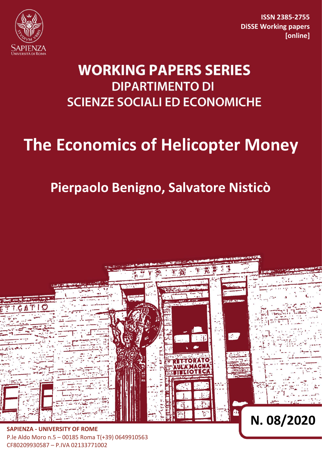

**ISSN 2385-2755 DiSSE Working papers [online]**

# **WORKING PAPERS SERIES DIPARTIMENTO DI SCIENZE SOCIALI ED ECONOMICHE**

# **The Economics of Helicopter Money**

# **Pierpaolo Benigno, Salvatore Nisticò**



P.le Aldo Moro n.5 – 00185 Roma T(+39) 0649910563 CF80209930587 – P.IVA 02133771002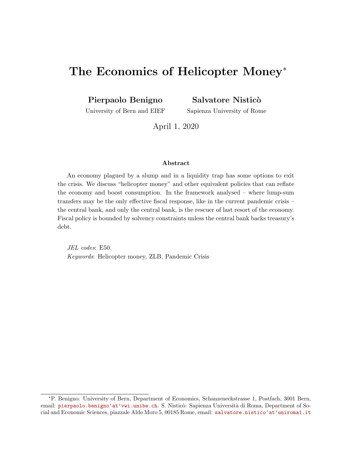## The Economics of Helicopter Money<sup>\*</sup>

Pierpaolo Benigno

Salvatore Nisticò

University of Bern and EIEF

Sapienza University of Rome

April 1, 2020

#### Abstract

An economy plagued by a slump and in a liquidity trap has some options to exit the crisis. We discuss "helicopter money" and other equivalent policies that can reflate the economy and boost consumption. In the framework analysed – where lump-sum transfers may be the only effective fiscal response, like in the current pandemic crisis – the central bank, and only the central bank, is the rescuer of last resort of the economy. Fiscal policy is bounded by solvency constraints unless the central bank backs treasury's debt.

JEL codes: E50. Keywords: Helicopter money, ZLB, Pandemic Crisis

<sup>∗</sup>P. Benigno: University of Bern, Department of Economics, Schanzeneckstrasse 1, Postfach, 3001 Bern, email: [pierpaolo.benigno'at'vwi.unibe.ch](mailto:pierpaolo.benigno@vwi.unibe.ch). S. Nisticò: Sapienza Università di Roma, Department of Social and Economic Sciences, piazzale Aldo Moro 5, 00185 Rome, email: [salvatore.nistico'at'uniroma1.it](mailto:salvatore.nistico@uniroma1.it)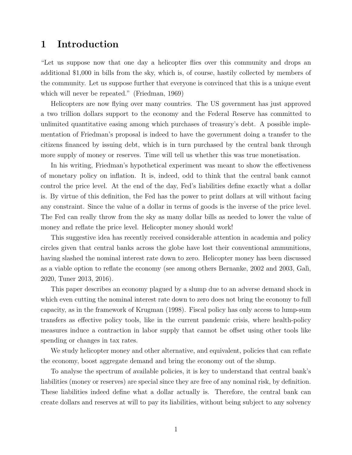#### 1 Introduction

"Let us suppose now that one day a helicopter flies over this community and drops an additional \$1,000 in bills from the sky, which is, of course, hastily collected by members of the community. Let us suppose further that everyone is convinced that this is a unique event which will never be repeated." (Friedman, 1969)

Helicopters are now flying over many countries. The US government has just approved a two trillion dollars support to the economy and the Federal Reserve has committed to unlimited quantitative easing among which purchases of treasury's debt. A possible implementation of Friedman's proposal is indeed to have the government doing a transfer to the citizens financed by issuing debt, which is in turn purchased by the central bank through more supply of money or reserves. Time will tell us whether this was true monetisation.

In his writing, Friedman's hypothetical experiment was meant to show the effectiveness of monetary policy on inflation. It is, indeed, odd to think that the central bank cannot control the price level. At the end of the day, Fed's liabilities define exactly what a dollar is. By virtue of this definition, the Fed has the power to print dollars at will without facing any constraint. Since the value of a dollar in terms of goods is the inverse of the price level. The Fed can really throw from the sky as many dollar bills as needed to lower the value of money and reflate the price level. Helicopter money should work!

This suggestive idea has recently received considerable attention in academia and policy circles given that central banks across the globe have lost their conventional ammunitions, having slashed the nominal interest rate down to zero. Helicopter money has been discussed as a viable option to reflate the economy (see among others Bernanke, 2002 and 2003, Gali, 2020, Tuner 2013, 2016).

This paper describes an economy plagued by a slump due to an adverse demand shock in which even cutting the nominal interest rate down to zero does not bring the economy to full capacity, as in the framework of Krugman (1998). Fiscal policy has only access to lump-sum transfers as effective policy tools, like in the current pandemic crisis, where health-policy measures induce a contraction in labor supply that cannot be offset using other tools like spending or changes in tax rates.

We study helicopter money and other alternative, and equivalent, policies that can reflate the economy, boost aggregate demand and bring the economy out of the slump.

To analyse the spectrum of available policies, it is key to understand that central bank's liabilities (money or reserves) are special since they are free of any nominal risk, by definition. These liabilities indeed define what a dollar actually is. Therefore, the central bank can create dollars and reserves at will to pay its liabilities, without being subject to any solvency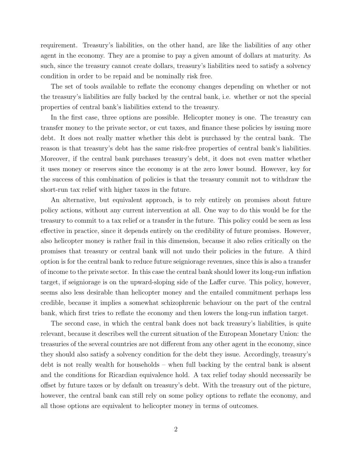requirement. Treasury's liabilities, on the other hand, are like the liabilities of any other agent in the economy. They are a promise to pay a given amount of dollars at maturity. As such, since the treasury cannot create dollars, treasury's liabilities need to satisfy a solvency condition in order to be repaid and be nominally risk free.

The set of tools available to reflate the economy changes depending on whether or not the treasury's liabilities are fully backed by the central bank, i.e. whether or not the special properties of central bank's liabilities extend to the treasury.

In the first case, three options are possible. Helicopter money is one. The treasury can transfer money to the private sector, or cut taxes, and finance these policies by issuing more debt. It does not really matter whether this debt is purchased by the central bank. The reason is that treasury's debt has the same risk-free properties of central bank's liabilities. Moreover, if the central bank purchases treasury's debt, it does not even matter whether it uses money or reserves since the economy is at the zero lower bound. However, key for the success of this combination of policies is that the treasury commit not to withdraw the short-run tax relief with higher taxes in the future.

An alternative, but equivalent approach, is to rely entirely on promises about future policy actions, without any current intervention at all. One way to do this would be for the treasury to commit to a tax relief or a transfer in the future. This policy could be seen as less effective in practice, since it depends entirely on the credibility of future promises. However, also helicopter money is rather frail in this dimension, because it also relies critically on the promises that treasury or central bank will not undo their policies in the future. A third option is for the central bank to reduce future seigniorage revenues, since this is also a transfer of income to the private sector. In this case the central bank should lower its long-run inflation target, if seigniorage is on the upward-sloping side of the Laffer curve. This policy, however, seems also less desirable than helicopter money and the entailed commitment perhaps less credible, because it implies a somewhat schizophrenic behaviour on the part of the central bank, which first tries to reflate the economy and then lowers the long-run inflation target.

The second case, in which the central bank does not back treasury's liabilities, is quite relevant, because it describes well the current situation of the European Monetary Union: the treasuries of the several countries are not different from any other agent in the economy, since they should also satisfy a solvency condition for the debt they issue. Accordingly, treasury's debt is not really wealth for households – when full backing by the central bank is absent and the conditions for Ricardian equivalence hold. A tax relief today should necessarily be offset by future taxes or by default on treasury's debt. With the treasury out of the picture, however, the central bank can still rely on some policy options to reflate the economy, and all those options are equivalent to helicopter money in terms of outcomes.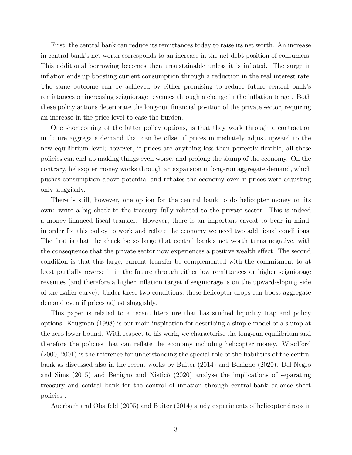First, the central bank can reduce its remittances today to raise its net worth. An increase in central bank's net worth corresponds to an increase in the net debt position of consumers. This additional borrowing becomes then unsustainable unless it is inflated. The surge in inflation ends up boosting current consumption through a reduction in the real interest rate. The same outcome can be achieved by either promising to reduce future central bank's remittances or increasing seigniorage revenues through a change in the inflation target. Both these policy actions deteriorate the long-run financial position of the private sector, requiring an increase in the price level to ease the burden.

One shortcoming of the latter policy options, is that they work through a contraction in future aggregate demand that can be offset if prices immediately adjust upward to the new equilibrium level; however, if prices are anything less than perfectly flexible, all these policies can end up making things even worse, and prolong the slump of the economy. On the contrary, helicopter money works through an expansion in long-run aggregate demand, which pushes consumption above potential and reflates the economy even if prices were adjusting only sluggishly.

There is still, however, one option for the central bank to do helicopter money on its own: write a big check to the treasury fully rebated to the private sector. This is indeed a money-financed fiscal transfer. However, there is an important caveat to bear in mind: in order for this policy to work and reflate the economy we need two additional conditions. The first is that the check be so large that central bank's net worth turns negative, with the consequence that the private sector now experiences a positive wealth effect. The second condition is that this large, current transfer be complemented with the commitment to at least partially reverse it in the future through either low remittances or higher seigniorage revenues (and therefore a higher inflation target if seigniorage is on the upward-sloping side of the Laffer curve). Under these two conditions, these helicopter drops can boost aggregate demand even if prices adjust sluggishly.

This paper is related to a recent literature that has studied liquidity trap and policy options. Krugman (1998) is our main inspiration for describing a simple model of a slump at the zero lower bound. With respect to his work, we characterise the long-run equilibrium and therefore the policies that can reflate the economy including helicopter money. Woodford (2000, 2001) is the reference for understanding the special role of the liabilities of the central bank as discussed also in the recent works by Buiter (2014) and Benigno (2020). Del Negro and Sims  $(2015)$  and Benigno and Nisticò  $(2020)$  analyse the implications of separating treasury and central bank for the control of inflation through central-bank balance sheet policies .

Auerbach and Obstfeld (2005) and Buiter (2014) study experiments of helicopter drops in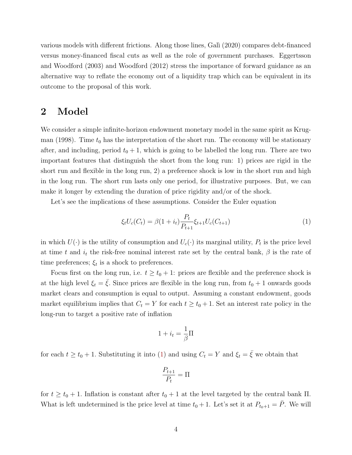various models with different frictions. Along those lines, Gali (2020) compares debt-financed versus money-financed fiscal cuts as well as the role of government purchases. Eggertsson and Woodford (2003) and Woodford (2012) stress the importance of forward guidance as an alternative way to reflate the economy out of a liquidity trap which can be equivalent in its outcome to the proposal of this work.

#### 2 Model

We consider a simple infinite-horizon endowment monetary model in the same spirit as Krugman (1998). Time  $t_0$  has the interpretation of the short run. The economy will be stationary after, and including, period  $t_0 + 1$ , which is going to be labelled the long run. There are two important features that distinguish the short from the long run: 1) prices are rigid in the short run and flexible in the long run, 2) a preference shock is low in the short run and high in the long run. The short run lasts only one period, for illustrative purposes. But, we can make it longer by extending the duration of price rigidity and/or of the shock.

Let's see the implications of these assumptions. Consider the Euler equation

<span id="page-5-0"></span>
$$
\xi_t U_c(C_t) = \beta (1 + i_t) \frac{P_t}{P_{t+1}} \xi_{t+1} U_c(C_{t+1})
$$
\n(1)

in which  $U(\cdot)$  is the utility of consumption and  $U_c(\cdot)$  its marginal utility,  $P_t$  is the price level at time t and  $i_t$  the risk-free nominal interest rate set by the central bank,  $\beta$  is the rate of time preferences;  $\xi_t$  is a shock to preferences.

Focus first on the long run, i.e.  $t \geq t_0 + 1$ : prices are flexible and the preference shock is at the high level  $\xi_t = \xi$ . Since prices are flexible in the long run, from  $t_0 + 1$  onwards goods market clears and consumption is equal to output. Assuming a constant endowment, goods market equilibrium implies that  $C_t = Y$  for each  $t \ge t_0 + 1$ . Set an interest rate policy in the long-run to target a positive rate of inflation

$$
1 + i_t = \frac{1}{\beta} \Pi
$$

for each  $t \ge t_0 + 1$ . Substituting it into [\(1\)](#page-5-0) and using  $C_t = Y$  and  $\xi_t = \overline{\xi}$  we obtain that

$$
\frac{P_{t+1}}{P_t} = \Pi
$$

for  $t \ge t_0 + 1$ . Inflation is constant after  $t_0 + 1$  at the level targeted by the central bank  $\Pi$ . What is left undetermined is the price level at time  $t_0 + 1$ . Let's set it at  $P_{t_0+1} = \overline{P}$ . We will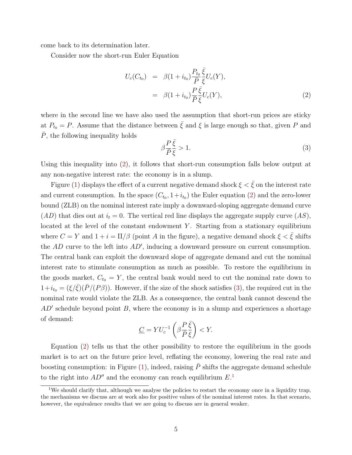come back to its determination later.

Consider now the short-run Euler Equation

<span id="page-6-0"></span>
$$
U_c(C_{t_0}) = \beta(1 + i_{t_0}) \frac{P_{t_0}}{\bar{P}} \frac{\bar{\xi}}{\xi} U_c(Y),
$$
  
=  $\beta(1 + i_{t_0}) \frac{P}{\bar{P}} \frac{\bar{\xi}}{\xi} U_c(Y),$  (2)

where in the second line we have also used the assumption that short-run prices are sticky at  $P_{t_0} = P$ . Assume that the distance between  $\bar{\xi}$  and  $\xi$  is large enough so that, given P and  $\overline{P}$ , the following inequality holds

<span id="page-6-1"></span>
$$
\beta \frac{P\,\bar{\xi}}{\bar{P}\,\bar{\xi}} > 1. \tag{3}
$$

Using this inequality into [\(2\)](#page-6-0), it follows that short-run consumption falls below output at any non-negative interest rate: the economy is in a slump.

Figure [\(1\)](#page-7-0) displays the effect of a current negative demand shock  $\xi < \bar{\xi}$  on the interest rate and current consumption. In the space  $(C_{t_0}, 1+i_{t_0})$  the Euler equation [\(2\)](#page-6-0) and the zero-lower bound (ZLB) on the nominal interest rate imply a downward-sloping aggregate demand curve  $(AD)$  that dies out at  $i_t = 0$ . The vertical red line displays the aggregate supply curve  $(AS)$ , located at the level of the constant endowment  $Y$ . Starting from a stationary equilibrium where  $C = Y$  and  $1 + i = \Pi/\beta$  (point A in the figure), a negative demand shock  $\xi < \bar{\xi}$  shifts the  $AD$  curve to the left into  $AD'$ , inducing a downward pressure on current consumption. The central bank can exploit the downward slope of aggregate demand and cut the nominal interest rate to stimulate consumption as much as possible. To restore the equilibrium in the goods market,  $C_{t_0} = Y$ , the central bank would need to cut the nominal rate down to  $1+i_{t_0} = (\xi/\bar{\xi})(\bar{P}/(P\beta))$ . However, if the size of the shock satisfies [\(3\)](#page-6-1), the required cut in the nominal rate would violate the ZLB. As a consequence, the central bank cannot descend the  $AD'$  schedule beyond point  $B$ , where the economy is in a slump and experiences a shortage of demand:

$$
\underline{C} = YU_c^{-1}\left(\beta \frac{P\,\bar{\xi}}{\bar{P}\,\bar{\xi}}\right) < Y.
$$

Equation [\(2\)](#page-6-0) tells us that the other possibility to restore the equilibrium in the goods market is to act on the future price level, reflating the economy, lowering the real rate and boosting consumption: in Figure [\(1\)](#page-7-0), indeed, raising  $\bar{P}$  shifts the aggregate demand schedule to the right into  $AD''$  and the economy can reach equilibrium  $E<sup>1</sup>$  $E<sup>1</sup>$  $E<sup>1</sup>$ 

<span id="page-6-2"></span><sup>&</sup>lt;sup>1</sup>We should clarify that, although we analyse the policies to restart the economy once in a liquidity trap, the mechanisms we discuss are at work also for positive values of the nominal interest rates. In that scenario, however, the equivalence results that we are going to discuss are in general weaker.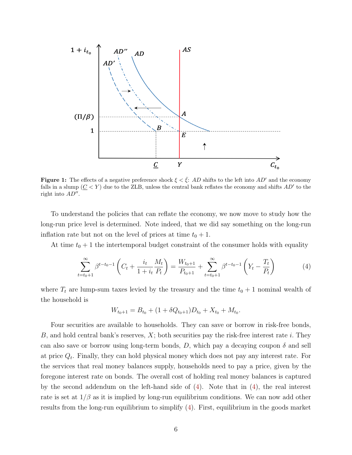<span id="page-7-0"></span>

**Figure 1:** The effects of a negative preference shock  $\xi < \bar{\xi}$ : AD shifts to the left into AD' and the economy falls in a slump  $(C < Y)$  due to the ZLB, unless the central bank reflates the economy and shifts  $AD'$  to the right into  $AD''$ .

To understand the policies that can reflate the economy, we now move to study how the long-run price level is determined. Note indeed, that we did say something on the long-run inflation rate but not on the level of prices at time  $t_0 + 1$ .

At time  $t_0 + 1$  the intertemporal budget constraint of the consumer holds with equality

<span id="page-7-1"></span>
$$
\sum_{t=t_0+1}^{\infty} \beta^{t-t_0-1} \left( C_t + \frac{i_t}{1+i_t} \frac{M_t}{P_t} \right) = \frac{W_{t_0+1}}{P_{t_0+1}} + \sum_{t=t_0+1}^{\infty} \beta^{t-t_0-1} \left( Y_t - \frac{T_t}{P_t} \right)
$$
(4)

where  $T_t$  are lump-sum taxes levied by the treasury and the time  $t_0 + 1$  nominal wealth of the household is

$$
W_{t_0+1} = B_{t_0} + (1 + \delta Q_{t_0+1})D_{t_0} + X_{t_0} + M_{t_0}.
$$

Four securities are available to households. They can save or borrow in risk-free bonds, B, and hold central bank's reserves,  $X$ ; both securities pay the risk-free interest rate i. They can also save or borrow using long-term bonds, D, which pay a decaying coupon  $\delta$  and sell at price  $Q_t$ . Finally, they can hold physical money which does not pay any interest rate. For the services that real money balances supply, households need to pay a price, given by the foregone interest rate on bonds. The overall cost of holding real money balances is captured by the second addendum on the left-hand side of  $(4)$ . Note that in  $(4)$ , the real interest rate is set at  $1/\beta$  as it is implied by long-run equilibrium conditions. We can now add other results from the long-run equilibrium to simplify [\(4\)](#page-7-1). First, equilibrium in the goods market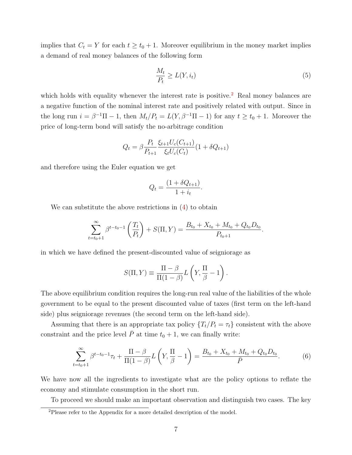implies that  $C_t = Y$  for each  $t \ge t_0 + 1$ . Moreover equilibrium in the money market implies a demand of real money balances of the following form

<span id="page-8-2"></span>
$$
\frac{M_t}{P_t} \ge L(Y, i_t) \tag{5}
$$

which holds with equality whenever the interest rate is positive.<sup>[2](#page-8-0)</sup> Real money balances are a negative function of the nominal interest rate and positively related with output. Since in the long run  $i = \beta^{-1}\Pi - 1$ , then  $M_t/P_t = L(Y, \beta^{-1}\Pi - 1)$  for any  $t \ge t_0 + 1$ . Moreover the price of long-term bond will satisfy the no-arbitrage condition

$$
Q_t = \beta \frac{P_t}{P_{t+1}} \frac{\xi_{t+1} U_c(C_{t+1})}{\xi_t U_c(C_t)} (1 + \delta Q_{t+1})
$$

and therefore using the Euler equation we get

$$
Q_t = \frac{(1 + \delta Q_{t+1})}{1 + i_t}.
$$

We can substitute the above restrictions in  $(4)$  to obtain

$$
\sum_{t=t_0+1}^{\infty} \beta^{t-t_0-1} \left( \frac{T_t}{P_t} \right) + S(\Pi, Y) = \frac{B_{t_0} + X_{t_0} + M_{t_0} + Q_{t_0} D_{t_0}}{P_{t_0+1}}.
$$

in which we have defined the present-discounted value of seigniorage as

$$
S(\Pi, Y) \equiv \frac{\Pi - \beta}{\Pi(1 - \beta)} L\left(Y, \frac{\Pi}{\beta} - 1\right).
$$

The above equilibrium condition requires the long-run real value of the liabilities of the whole government to be equal to the present discounted value of taxes (first term on the left-hand side) plus seigniorage revenues (the second term on the left-hand side).

Assuming that there is an appropriate tax policy  $\{T_t/P_t = \tau_t\}$  consistent with the above constraint and the price level  $\overline{P}$  at time  $t_0 + 1$ , we can finally write:

<span id="page-8-1"></span>
$$
\sum_{t=t_0+1}^{\infty} \beta^{t-t_0-1} \tau_t + \frac{\Pi - \beta}{\Pi (1-\beta)} L\left(Y, \frac{\Pi}{\beta} - 1\right) = \frac{B_{t_0} + X_{t_0} + M_{t_0} + Q_{t_0} D_{t_0}}{\bar{P}}.
$$
(6)

We have now all the ingredients to investigate what are the policy options to reflate the economy and stimulate consumption in the short run.

To proceed we should make an important observation and distinguish two cases. The key

<span id="page-8-0"></span><sup>2</sup>Please refer to the Appendix for a more detailed description of the model.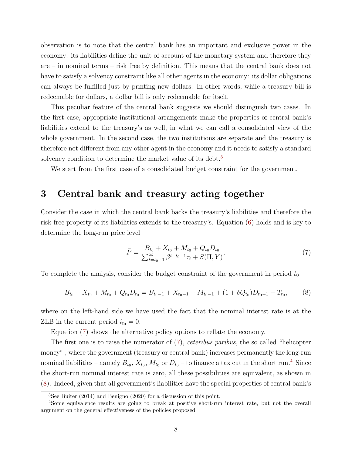observation is to note that the central bank has an important and exclusive power in the economy: its liabilities define the unit of account of the monetary system and therefore they are – in nominal terms – risk free by definition. This means that the central bank does not have to satisfy a solvency constraint like all other agents in the economy: its dollar obligations can always be fulfilled just by printing new dollars. In other words, while a treasury bill is redeemable for dollars, a dollar bill is only redeemable for itself.

This peculiar feature of the central bank suggests we should distinguish two cases. In the first case, appropriate institutional arrangements make the properties of central bank's liabilities extend to the treasury's as well, in what we can call a consolidated view of the whole government. In the second case, the two institutions are separate and the treasury is therefore not different from any other agent in the economy and it needs to satisfy a standard solvency condition to determine the market value of its debt.<sup>[3](#page-9-0)</sup>

We start from the first case of a consolidated budget constraint for the government.

#### 3 Central bank and treasury acting together

Consider the case in which the central bank backs the treasury's liabilities and therefore the risk-free property of its liabilities extends to the treasury's. Equation [\(6\)](#page-8-1) holds and is key to determine the long-run price level

<span id="page-9-1"></span>
$$
\bar{P} = \frac{B_{t_0} + X_{t_0} + M_{t_0} + Q_{t_0} D_{t_0}}{\sum_{t=t_0+1}^{\infty} \beta^{t-t_0-1} \tau_t + S(\Pi, Y)}.
$$
\n(7)

To complete the analysis, consider the budget constraint of the government in period  $t_0$ 

<span id="page-9-3"></span>
$$
B_{t_0} + X_{t_0} + M_{t_0} + Q_{t_0}D_{t_0} = B_{t_0 - 1} + X_{t_0 - 1} + M_{t_0 - 1} + (1 + \delta Q_{t_0})D_{t_0 - 1} - T_{t_0},
$$
 (8)

where on the left-hand side we have used the fact that the nominal interest rate is at the ZLB in the current period  $i_{t_0} = 0$ .

Equation [\(7\)](#page-9-1) shows the alternative policy options to reflate the economy.

The first one is to raise the numerator of [\(7\)](#page-9-1), ceteribus paribus, the so called "helicopter money" , where the government (treasury or central bank) increases permanently the long-run nominal liabilities – namely  $B_{t_0}$ ,  $X_{t_0}$ ,  $M_{t_0}$  or  $D_{t_0}$  – to finance a tax cut in the short run.<sup>[4](#page-9-2)</sup> Since the short-run nominal interest rate is zero, all these possibilities are equivalent, as shown in [\(8\)](#page-9-3). Indeed, given that all government's liabilities have the special properties of central bank's

<span id="page-9-2"></span><span id="page-9-0"></span> ${}^{3}$ See Buiter (2014) and Benigno (2020) for a discussion of this point.

<sup>4</sup>Some equivalence results are going to break at positive short-run interest rate, but not the overall argument on the general effectiveness of the policies proposed.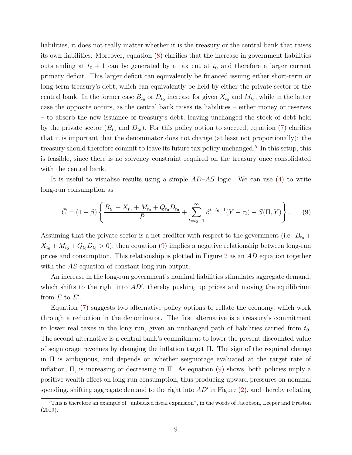liabilities, it does not really matter whether it is the treasury or the central bank that raises its own liabilities. Moreover, equation [\(8\)](#page-9-3) clarifies that the increase in government liabilities outstanding at  $t_0 + 1$  can be generated by a tax cut at  $t_0$  and therefore a larger current primary deficit. This larger deficit can equivalently be financed issuing either short-term or long-term treasury's debt, which can equivalently be held by either the private sector or the central bank. In the former case  $B_{t_0}$  or  $D_{t_0}$  increase for given  $X_{t_0}$  and  $M_{t_0}$ , while in the latter case the opposite occurs, as the central bank raises its liabilities – either money or reserves – to absorb the new issuance of treasury's debt, leaving unchanged the stock of debt held by the private sector  $(B_{t_0} \text{ and } D_{t_0})$ . For this policy option to succeed, equation [\(7\)](#page-9-1) clarifies that it is important that the denominator does not change (at least not proportionally): the treasury should therefore commit to leave its future tax policy unchanged.<sup>[5](#page-10-0)</sup> In this setup, this is feasible, since there is no solvency constraint required on the treasury once consolidated with the central bank.

It is useful to visualise results using a simple  $AD-AS$  logic. We can use [\(4\)](#page-7-1) to write long-run consumption as

<span id="page-10-1"></span>
$$
\bar{C} = (1 - \beta) \left\{ \frac{B_{t_0} + X_{t_0} + M_{t_0} + Q_{t_0} D_{t_0}}{\bar{P}} + \sum_{t = t_0 + 1}^{\infty} \beta^{t - t_0 - 1} (Y - \tau_t) - S(\Pi, Y) \right\}.
$$
 (9)

Assuming that the private sector is a net creditor with respect to the government (i.e.  $B_{t_0}$  +  $X_{t_0} + M_{t_0} + Q_{t_0} D_{t_0} > 0$ , then equation [\(9\)](#page-10-1) implies a negative relationship between long-run prices and consumption. This relationship is plotted in Figure [2](#page-11-0) as an AD equation together with the AS equation of constant long-run output.

An increase in the long-run government's nominal liabilities stimulates aggregate demand, which shifts to the right into  $AD'$ , thereby pushing up prices and moving the equilibrium from  $E$  to  $E'$ .

Equation [\(7\)](#page-9-1) suggests two alternative policy options to reflate the economy, which work through a reduction in the denominator. The first alternative is a treasury's commitment to lower real taxes in the long run, given an unchanged path of liabilities carried from  $t_0$ . The second alternative is a central bank's commitment to lower the present discounted value of seigniorage revenues by changing the inflation target Π. The sign of the required change in Π is ambiguous, and depends on whether seigniorage evaluated at the target rate of inflation,  $\Pi$ , is increasing or decreasing in  $\Pi$ . As equation [\(9\)](#page-10-1) shows, both policies imply a positive wealth effect on long-run consumption, thus producing upward pressures on nominal spending, shifting aggregate demand to the right into  $AD'$  in Figure  $(2)$ , and thereby reflating

<span id="page-10-0"></span><sup>5</sup>This is therefore an example of "unbacked fiscal expansion", in the words of Jacobson, Leeper and Preston (2019).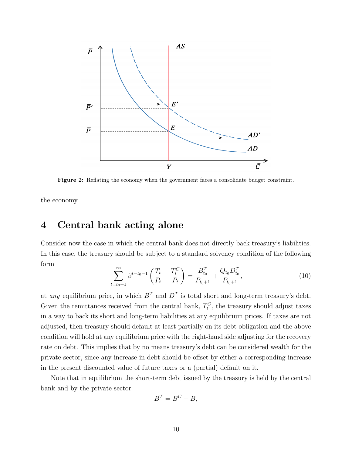<span id="page-11-0"></span>

Figure 2: Reflating the economy when the government faces a consolidate budget constraint.

the economy.

## 4 Central bank acting alone

Consider now the case in which the central bank does not directly back treasury's liabilities. In this case, the treasury should be subject to a standard solvency condition of the following form

<span id="page-11-1"></span>
$$
\sum_{t=t_0+1}^{\infty} \beta^{t-t_0-1} \left( \frac{T_t}{P_t} + \frac{T_t^C}{P_t} \right) = \frac{B_{t_0}^T}{P_{t_0+1}} + \frac{Q_{t_0} D_{t_0}^T}{P_{t_0+1}},
$$
\n(10)

at any equilibrium price, in which  $B<sup>T</sup>$  and  $D<sup>T</sup>$  is total short and long-term treasury's debt. Given the remittances received from the central bank,  $T_t^C$ , the treasury should adjust taxes in a way to back its short and long-term liabilities at any equilibrium prices. If taxes are not adjusted, then treasury should default at least partially on its debt obligation and the above condition will hold at any equilibrium price with the right-hand side adjusting for the recovery rate on debt. This implies that by no means treasury's debt can be considered wealth for the private sector, since any increase in debt should be offset by either a corresponding increase in the present discounted value of future taxes or a (partial) default on it.

Note that in equilibrium the short-term debt issued by the treasury is held by the central bank and by the private sector

$$
B^T = B^C + B,
$$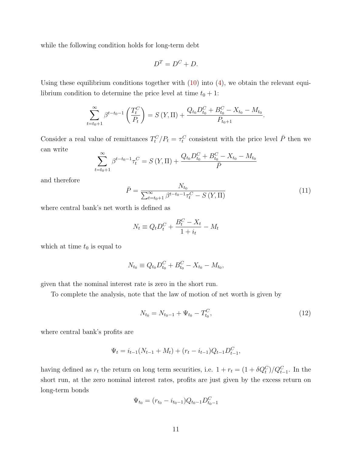while the following condition holds for long-term debt

$$
D^T = D^C + D.
$$

Using these equilibrium conditions together with  $(10)$  into  $(4)$ , we obtain the relevant equilibrium condition to determine the price level at time  $t_0 + 1$ :

$$
\sum_{t=t_0+1}^{\infty} \beta^{t-t_0-1} \left( \frac{T_t^C}{P_t} \right) = S(Y, \Pi) + \frac{Q_{t_0} D_{t_0}^C + B_{t_0}^C - X_{t_0} - M_{t_0}}{P_{t_0+1}}.
$$

Consider a real value of remittances  $T_t^C/P_t = \tau_t^C$  consistent with the price level  $\bar{P}$  then we can write

$$
\sum_{t=t_0+1}^{\infty} \beta^{t-t_0-1} \tau_t^C = S(Y, \Pi) + \frac{Q_{t_0} D_{t_0}^C + B_{t_0}^C - X_{t_0} - M_{t_0}}{\bar{P}}
$$

and therefore

<span id="page-12-0"></span>
$$
\bar{P} = \frac{N_{t_0}}{\sum_{t=t_0+1}^{\infty} \beta^{t-t_0-1} \tau_t^C - S\left(Y, \Pi\right)}
$$
(11)

where central bank's net worth is defined as

$$
N_t \equiv Q_t D_t^C + \frac{B_t^C - X_t}{1 + i_t} - M_t
$$

which at time  $t_0$  is equal to

$$
N_{t_0} \equiv Q_{t_0} D_{t_0}^C + B_{t_0}^C - X_{t_0} - M_{t_0},
$$

given that the nominal interest rate is zero in the short run.

To complete the analysis, note that the law of motion of net worth is given by

<span id="page-12-1"></span>
$$
N_{t_0} = N_{t_0 - 1} + \Psi_{t_0} - T_{t_0}^C,\tag{12}
$$

where central bank's profits are

$$
\Psi_t = i_{t-1}(N_{t-1} + M_t) + (r_t - i_{t-1})Q_{t-1}D_{t-1}^C,
$$

having defined as  $r_t$  the return on long term securities, i.e.  $1 + r_t = (1 + \delta Q_t^C)/Q_{t-1}^C$ . In the short run, at the zero nominal interest rates, profits are just given by the excess return on long-term bonds

$$
\Psi_{t_0} = (r_{t_0} - i_{t_0-1})Q_{t_0-1}D_{t_0-1}^C
$$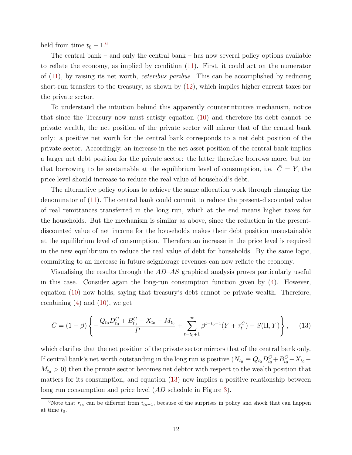held from time  $t_0 - 1$ .<sup>[6](#page-13-0)</sup>

The central bank – and only the central bank – has now several policy options available to reflate the economy, as implied by condition [\(11\)](#page-12-0). First, it could act on the numerator of [\(11\)](#page-12-0), by raising its net worth, ceteribus paribus. This can be accomplished by reducing short-run transfers to the treasury, as shown by [\(12\)](#page-12-1), which implies higher current taxes for the private sector.

To understand the intuition behind this apparently counterintuitive mechanism, notice that since the Treasury now must satisfy equation [\(10\)](#page-11-1) and therefore its debt cannot be private wealth, the net position of the private sector will mirror that of the central bank only: a positive net worth for the central bank corresponds to a net debt position of the private sector. Accordingly, an increase in the net asset position of the central bank implies a larger net debt position for the private sector: the latter therefore borrows more, but for that borrowing to be sustainable at the equilibrium level of consumption, i.e.  $\overline{C} = Y$ , the price level should increase to reduce the real value of household's debt.

The alternative policy options to achieve the same allocation work through changing the denominator of [\(11\)](#page-12-0). The central bank could commit to reduce the present-discounted value of real remittances transferred in the long run, which at the end means higher taxes for the households. But the mechanism is similar as above, since the reduction in the presentdiscounted value of net income for the households makes their debt position unsustainable at the equilibrium level of consumption. Therefore an increase in the price level is required in the new equilibrium to reduce the real value of debt for households. By the same logic, committing to an increase in future seigniorage revenues can now reflate the economy.

Visualising the results through the  $AD-AS$  graphical analysis proves particularly useful in this case. Consider again the long-run consumption function given by [\(4\)](#page-7-1). However, equation [\(10\)](#page-11-1) now holds, saying that treasury's debt cannot be private wealth. Therefore, combining  $(4)$  and  $(10)$ , we get

<span id="page-13-1"></span>
$$
\bar{C} = (1 - \beta) \left\{ -\frac{Q_{t_0} D_{t_0}^C + B_{t_0}^C - X_{t_0} - M_{t_0}}{\bar{P}} + \sum_{t=t_0+1}^{\infty} \beta^{t-t_0-1} (Y + \tau_t^C) - S(\Pi, Y) \right\},
$$
(13)

which clarifies that the net position of the private sector mirrors that of the central bank only. If central bank's net worth outstanding in the long run is positive  $(N_{t_0} \equiv Q_{t_0} D_{t_0}^C + B_{t_0}^C - X_{t_0} M_{t_0} > 0$ ) then the private sector becomes net debtor with respect to the wealth position that matters for its consumption, and equation [\(13\)](#page-13-1) now implies a positive relationship between long run consumption and price level (AD schedule in Figure [3\)](#page-14-0).

<span id="page-13-0"></span><sup>&</sup>lt;sup>6</sup>Note that  $r_{t_0}$  can be different from  $i_{t_0-1}$ , because of the surprises in policy and shock that can happen at time  $t_0$ .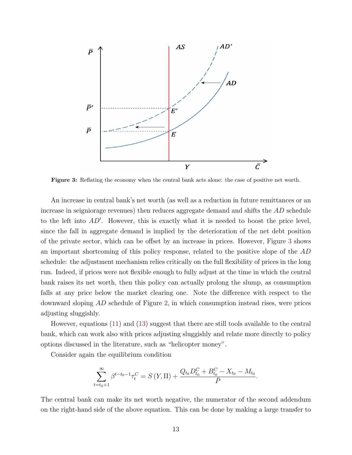<span id="page-14-0"></span>

Figure 3: Reflating the economy when the central bank acts alone: the case of positive net worth.

An increase in central bank's net worth (as well as a reduction in future remittances or an increase in seigniorage revenues) then reduces aggregate demand and shifts the AD schedule to the left into  $AD'$ . However, this is exactly what it is needed to boost the price level, since the fall in aggregate demand is implied by the deterioration of the net debt position of the private sector, which can be offset by an increase in prices. However, Figure [3](#page-14-0) shows an important shortcoming of this policy response, related to the positive slope of the AD schedule: the adjustment mechanism relies critically on the full flexibility of prices in the long run. Indeed, if prices were not flexible enough to fully adjust at the time in which the central bank raises its net worth, then this policy can actually prolong the slump, as consumption falls at any price below the market clearing one. Note the difference with respect to the downward sloping AD schedule of Figure [2,](#page-11-0) in which consumption instead rises, were prices adjusting sluggishly.

However, equations [\(11\)](#page-12-0) and [\(13\)](#page-13-1) suggest that there are still tools available to the central bank, which can work also with prices adjusting sluggishly and relate more directly to policy options discussed in the literature, such as "helicopter money".

Consider again the equilibrium condition

$$
\sum_{t=t_0+1}^{\infty} \beta^{t-t_0-1} \tau_t^C = S(Y, \Pi) + \frac{Q_{t_0} D_{t_0}^C + B_{t_0}^C - X_{t_0} - M_{t_0}}{\bar{P}}.
$$

The central bank can make its net worth negative, the numerator of the second addendum on the right-hand side of the above equation. This can be done by making a large transfer to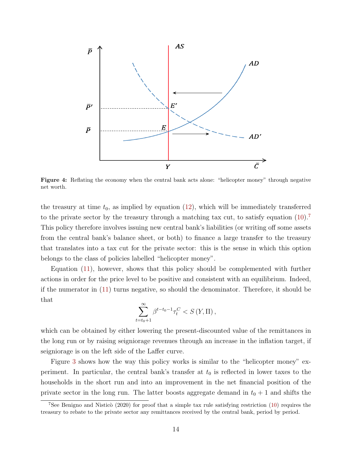

Figure 4: Reflating the economy when the central bank acts alone: "helicopter money" through negative net worth.

the treasury at time  $t_0$ , as implied by equation [\(12\)](#page-12-1), which will be immediately transferred to the private sector by the treasury through a matching tax cut, to satisfy equation  $(10).7$  $(10).7$  $(10).7$ This policy therefore involves issuing new central bank's liabilities (or writing off some assets from the central bank's balance sheet, or both) to finance a large transfer to the treasury that translates into a tax cut for the private sector: this is the sense in which this option belongs to the class of policies labelled "helicopter money".

Equation [\(11\)](#page-12-0), however, shows that this policy should be complemented with further actions in order for the price level to be positive and consistent with an equilibrium. Indeed, if the numerator in [\(11\)](#page-12-0) turns negative, so should the denominator. Therefore, it should be that

$$
\sum_{t=t_0+1}^{\infty} \beta^{t-t_0-1} \tau_t^C < S\left(Y, \Pi\right),
$$

which can be obtained by either lowering the present-discounted value of the remittances in the long run or by raising seigniorage revenues through an increase in the inflation target, if seigniorage is on the left side of the Laffer curve.

Figure [3](#page-14-0) shows how the way this policy works is similar to the "helicopter money" experiment. In particular, the central bank's transfer at  $t_0$  is reflected in lower taxes to the households in the short run and into an improvement in the net financial position of the private sector in the long run. The latter boosts aggregate demand in  $t_0 + 1$  and shifts the

<span id="page-15-0"></span><sup>&</sup>lt;sup>7</sup>See Benigno and Nisticò (2020) for proof that a simple tax rule satisfying restriction [\(10\)](#page-11-1) requires the treasury to rebate to the private sector any remittances received by the central bank, period by period.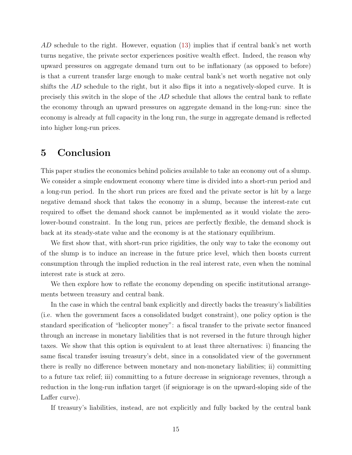AD schedule to the right. However, equation  $(13)$  implies that if central bank's net worth turns negative, the private sector experiences positive wealth effect. Indeed, the reason why upward pressures on aggregate demand turn out to be inflationary (as opposed to before) is that a current transfer large enough to make central bank's net worth negative not only shifts the AD schedule to the right, but it also flips it into a negatively-sloped curve. It is precisely this switch in the slope of the AD schedule that allows the central bank to reflate the economy through an upward pressures on aggregate demand in the long-run: since the economy is already at full capacity in the long run, the surge in aggregate demand is reflected into higher long-run prices.

#### 5 Conclusion

This paper studies the economics behind policies available to take an economy out of a slump. We consider a simple endowment economy where time is divided into a short-run period and a long-run period. In the short run prices are fixed and the private sector is hit by a large negative demand shock that takes the economy in a slump, because the interest-rate cut required to offset the demand shock cannot be implemented as it would violate the zerolower-bound constraint. In the long run, prices are perfectly flexible, the demand shock is back at its steady-state value and the economy is at the stationary equilibrium.

We first show that, with short-run price rigidities, the only way to take the economy out of the slump is to induce an increase in the future price level, which then boosts current consumption through the implied reduction in the real interest rate, even when the nominal interest rate is stuck at zero.

We then explore how to reflate the economy depending on specific institutional arrangements between treasury and central bank.

In the case in which the central bank explicitly and directly backs the treasury's liabilities (i.e. when the government faces a consolidated budget constraint), one policy option is the standard specification of "helicopter money": a fiscal transfer to the private sector financed through an increase in monetary liabilities that is not reversed in the future through higher taxes. We show that this option is equivalent to at least three alternatives: i) financing the same fiscal transfer issuing treasury's debt, since in a consolidated view of the government there is really no difference between monetary and non-monetary liabilities; ii) committing to a future tax relief; iii) committing to a future decrease in seigniorage revenues, through a reduction in the long-run inflation target (if seigniorage is on the upward-sloping side of the Laffer curve).

If treasury's liabilities, instead, are not explicitly and fully backed by the central bank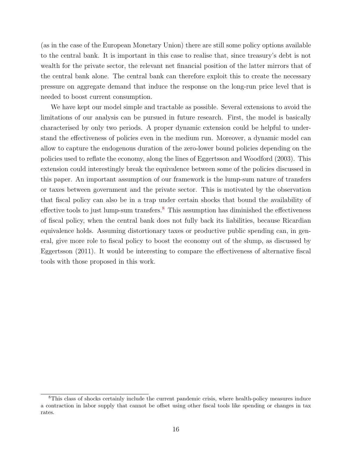(as in the case of the European Monetary Union) there are still some policy options available to the central bank. It is important in this case to realise that, since treasury's debt is not wealth for the private sector, the relevant net financial position of the latter mirrors that of the central bank alone. The central bank can therefore exploit this to create the necessary pressure on aggregate demand that induce the response on the long-run price level that is needed to boost current consumption.

We have kept our model simple and tractable as possible. Several extensions to avoid the limitations of our analysis can be pursued in future research. First, the model is basically characterised by only two periods. A proper dynamic extension could be helpful to understand the effectiveness of policies even in the medium run. Moreover, a dynamic model can allow to capture the endogenous duration of the zero-lower bound policies depending on the policies used to reflate the economy, along the lines of Eggertsson and Woodford (2003). This extension could interestingly break the equivalence between some of the policies discussed in this paper. An important assumption of our framework is the lump-sum nature of transfers or taxes between government and the private sector. This is motivated by the observation that fiscal policy can also be in a trap under certain shocks that bound the availability of effective tools to just lump-sum transfers.<sup>[8](#page-17-0)</sup> This assumption has diminished the effectiveness of fiscal policy, when the central bank does not fully back its liabilities, because Ricardian equivalence holds. Assuming distortionary taxes or productive public spending can, in general, give more role to fiscal policy to boost the economy out of the slump, as discussed by Eggertsson (2011). It would be interesting to compare the effectiveness of alternative fiscal tools with those proposed in this work.

<span id="page-17-0"></span><sup>8</sup>This class of shocks certainly include the current pandemic crisis, where health-policy measures induce a contraction in labor supply that cannot be offset using other fiscal tools like spending or changes in tax rates.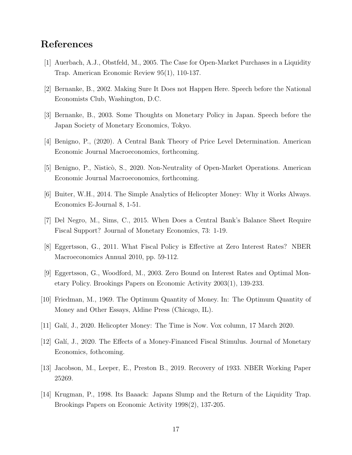#### References

- [1] Auerbach, A.J., Obstfeld, M., 2005. The Case for Open-Market Purchases in a Liquidity Trap. American Economic Review 95(1), 110-137.
- [2] Bernanke, B., 2002. Making Sure It Does not Happen Here. Speech before the National Economists Club, Washington, D.C.
- [3] Bernanke, B., 2003. Some Thoughts on Monetary Policy in Japan. Speech before the Japan Society of Monetary Economics, Tokyo.
- [4] Benigno, P., (2020). A Central Bank Theory of Price Level Determination. American Economic Journal Macroeconomics, forthcoming.
- [5] Benigno, P., Nisticò, S., 2020. Non-Neutrality of Open-Market Operations. American Economic Journal Macroeconomics, forthcoming.
- [6] Buiter, W.H., 2014. The Simple Analytics of Helicopter Money: Why it Works Always. Economics E-Journal 8, 1-51.
- [7] Del Negro, M., Sims, C., 2015. When Does a Central Bank's Balance Sheet Require Fiscal Support? Journal of Monetary Economics, 73: 1-19.
- [8] Eggertsson, G., 2011. What Fiscal Policy is Effective at Zero Interest Rates? NBER Macroeconomics Annual 2010, pp. 59-112.
- [9] Eggertsson, G., Woodford, M., 2003. Zero Bound on Interest Rates and Optimal Monetary Policy. Brookings Papers on Economic Activity 2003(1), 139-233.
- [10] Friedman, M., 1969. The Optimum Quantity of Money. In: The Optimum Quantity of Money and Other Essays, Aldine Press (Chicago, IL).
- [11] Galí, J., 2020. Helicopter Money: The Time is Now. Vox column, 17 March 2020.
- [12] Galí, J., 2020. The Effects of a Money-Financed Fiscal Stimulus. Journal of Monetary Economics, fothcoming.
- [13] Jacobson, M., Leeper, E., Preston B., 2019. Recovery of 1933. NBER Working Paper 25269.
- [14] Krugman, P., 1998. Its Baaack: Japans Slump and the Return of the Liquidity Trap. Brookings Papers on Economic Activity 1998(2), 137-205.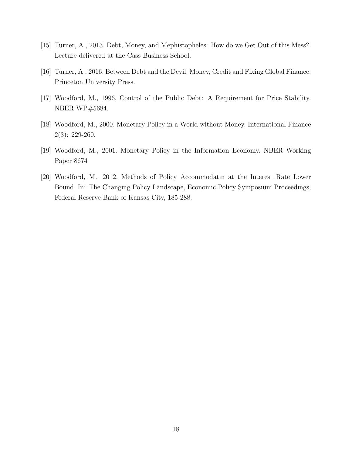- [15] Turner, A., 2013. Debt, Money, and Mephistopheles: How do we Get Out of this Mess?. Lecture delivered at the Cass Business School.
- [16] Turner, A., 2016. Between Debt and the Devil. Money, Credit and Fixing Global Finance. Princeton University Press.
- [17] Woodford, M., 1996. Control of the Public Debt: A Requirement for Price Stability. NBER WP#5684.
- [18] Woodford, M., 2000. Monetary Policy in a World without Money. International Finance 2(3): 229-260.
- [19] Woodford, M., 2001. Monetary Policy in the Information Economy. NBER Working Paper 8674
- [20] Woodford, M., 2012. Methods of Policy Accommodatin at the Interest Rate Lower Bound. In: The Changing Policy Landscape, Economic Policy Symposium Proceedings, Federal Reserve Bank of Kansas City, 185-288.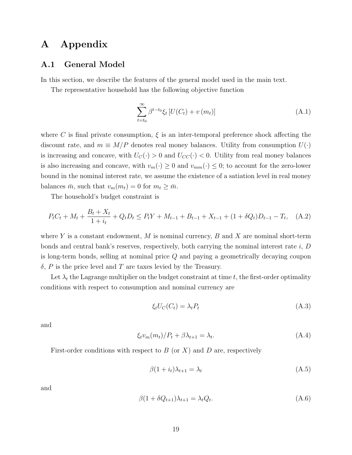### A Appendix

#### A.1 General Model

In this section, we describe the features of the general model used in the main text.

The representative household has the following objective function

$$
\sum_{t=t_0}^{\infty} \beta^{t-t_0} \xi_t \left[ U(C_t) + v(m_t) \right] \tag{A.1}
$$

where C is final private consumption,  $\xi$  is an inter-temporal preference shock affecting the discount rate, and  $m \equiv M/P$  denotes real money balances. Utility from consumption  $U(\cdot)$ is increasing and concave, with  $U_C(\cdot) > 0$  and  $U_{CC}(\cdot) < 0$ . Utility from real money balances is also increasing and concave, with  $v_m(\cdot) \geq 0$  and  $v_{mm}(\cdot) \leq 0$ ; to account for the zero-lower bound in the nominal interest rate, we assume the existence of a satiation level in real money balances  $\bar{m}$ , such that  $v_m(m_t) = 0$  for  $m_t \geq \bar{m}$ .

The household's budget constraint is

$$
P_t C_t + M_t + \frac{B_t + X_t}{1 + i_t} + Q_t D_t \le P_t Y + M_{t-1} + B_{t-1} + X_{t-1} + (1 + \delta Q_t) D_{t-1} - T_t, \quad (A.2)
$$

where Y is a constant endowment, M is nominal currency, B and X are nominal short-term bonds and central bank's reserves, respectively, both carrying the nominal interest rate  $i, D$ is long-term bonds, selling at nominal price Q and paying a geometrically decaying coupon  $\delta$ , P is the price level and T are taxes levied by the Treasury.

Let  $\lambda_t$  the Lagrange multiplier on the budget constraint at time t, the first-order optimality conditions with respect to consumption and nominal currency are

$$
\xi_t U_C(C_t) = \lambda_t P_t \tag{A.3}
$$

and

$$
\xi_t v_m(m_t)/P_t + \beta \lambda_{t+1} = \lambda_t. \tag{A.4}
$$

First-order conditions with respect to  $B$  (or X) and  $D$  are, respectively

$$
\beta(1+i_t)\lambda_{t+1} = \lambda_t \tag{A.5}
$$

and

$$
\beta(1 + \delta Q_{t+1})\lambda_{t+1} = \lambda_t Q_t.
$$
\n(A.6)